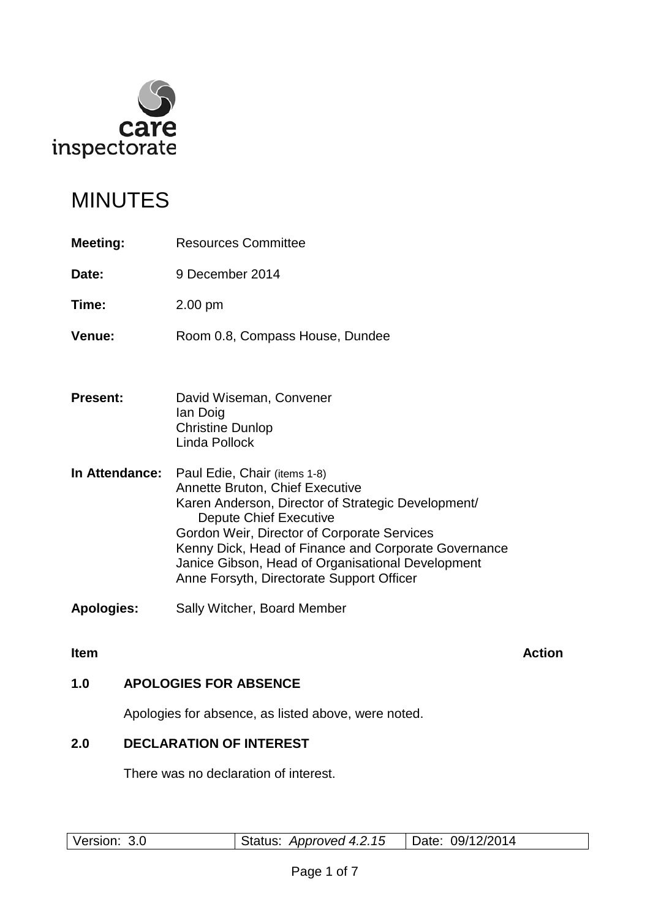

# MINUTES

| <b>Meeting:</b>   | <b>Resources Committee</b>                                                                                                                                                                                                                                                                                                                                             |
|-------------------|------------------------------------------------------------------------------------------------------------------------------------------------------------------------------------------------------------------------------------------------------------------------------------------------------------------------------------------------------------------------|
| Date:             | 9 December 2014                                                                                                                                                                                                                                                                                                                                                        |
| Time:             | $2.00$ pm                                                                                                                                                                                                                                                                                                                                                              |
| <b>Venue:</b>     | Room 0.8, Compass House, Dundee                                                                                                                                                                                                                                                                                                                                        |
|                   |                                                                                                                                                                                                                                                                                                                                                                        |
| <b>Present:</b>   | David Wiseman, Convener<br>lan Doig<br><b>Christine Dunlop</b><br><b>Linda Pollock</b>                                                                                                                                                                                                                                                                                 |
| In Attendance:    | Paul Edie, Chair (items 1-8)<br><b>Annette Bruton, Chief Executive</b><br>Karen Anderson, Director of Strategic Development/<br><b>Depute Chief Executive</b><br>Gordon Weir, Director of Corporate Services<br>Kenny Dick, Head of Finance and Corporate Governance<br>Janice Gibson, Head of Organisational Development<br>Anne Forsyth, Directorate Support Officer |
| <b>Apologies:</b> | Sally Witcher, Board Member                                                                                                                                                                                                                                                                                                                                            |

# **Item Action**

# **1.0 APOLOGIES FOR ABSENCE**

Apologies for absence, as listed above, were noted.

# **2.0 DECLARATION OF INTEREST**

There was no declaration of interest.

| Status: Approved 4.2.15   Date: 09/12/2014<br>Version: 3.0 |  |
|------------------------------------------------------------|--|
|------------------------------------------------------------|--|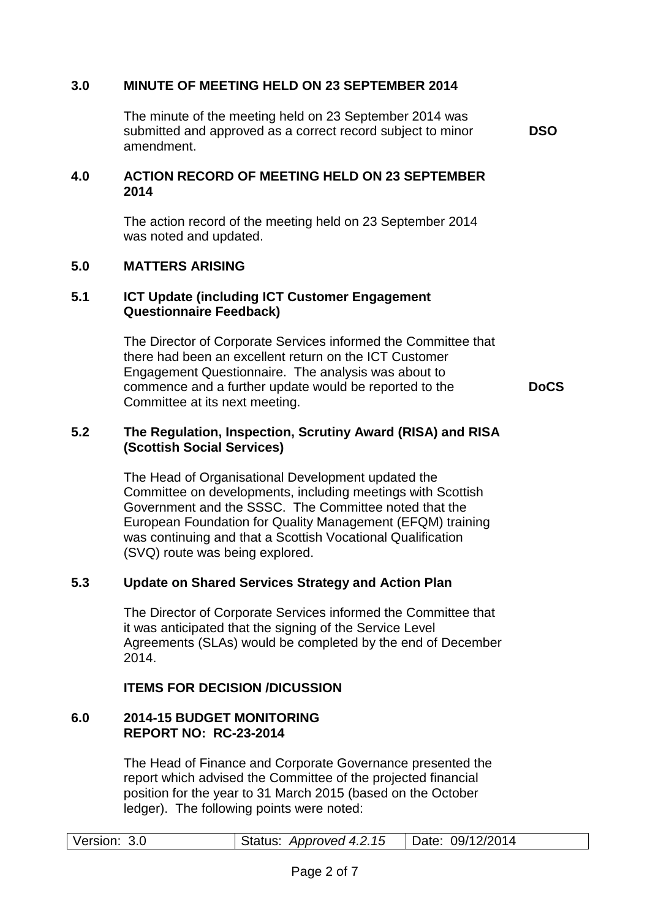# **3.0 MINUTE OF MEETING HELD ON 23 SEPTEMBER 2014**

The minute of the meeting held on 23 September 2014 was submitted and approved as a correct record subject to minor amendment.

**DSO**

# **4.0 ACTION RECORD OF MEETING HELD ON 23 SEPTEMBER 2014**

The action record of the meeting held on 23 September 2014 was noted and updated.

#### **5.0 MATTERS ARISING**

# **5.1 ICT Update (including ICT Customer Engagement Questionnaire Feedback)**

The Director of Corporate Services informed the Committee that there had been an excellent return on the ICT Customer Engagement Questionnaire. The analysis was about to commence and a further update would be reported to the Committee at its next meeting.

**DoCS**

# **5.2 The Regulation, Inspection, Scrutiny Award (RISA) and RISA (Scottish Social Services)**

The Head of Organisational Development updated the Committee on developments, including meetings with Scottish Government and the SSSC. The Committee noted that the European Foundation for Quality Management (EFQM) training was continuing and that a Scottish Vocational Qualification (SVQ) route was being explored.

#### **5.3 Update on Shared Services Strategy and Action Plan**

The Director of Corporate Services informed the Committee that it was anticipated that the signing of the Service Level Agreements (SLAs) would be completed by the end of December 2014.

# **ITEMS FOR DECISION /DICUSSION**

#### **6.0 2014-15 BUDGET MONITORING REPORT NO: RC-23-2014**

The Head of Finance and Corporate Governance presented the report which advised the Committee of the projected financial position for the year to 31 March 2015 (based on the October ledger). The following points were noted:

| Version: 3.0 | Status: Approved 4.2.15   Date: 09/12/2014 |  |
|--------------|--------------------------------------------|--|
|              |                                            |  |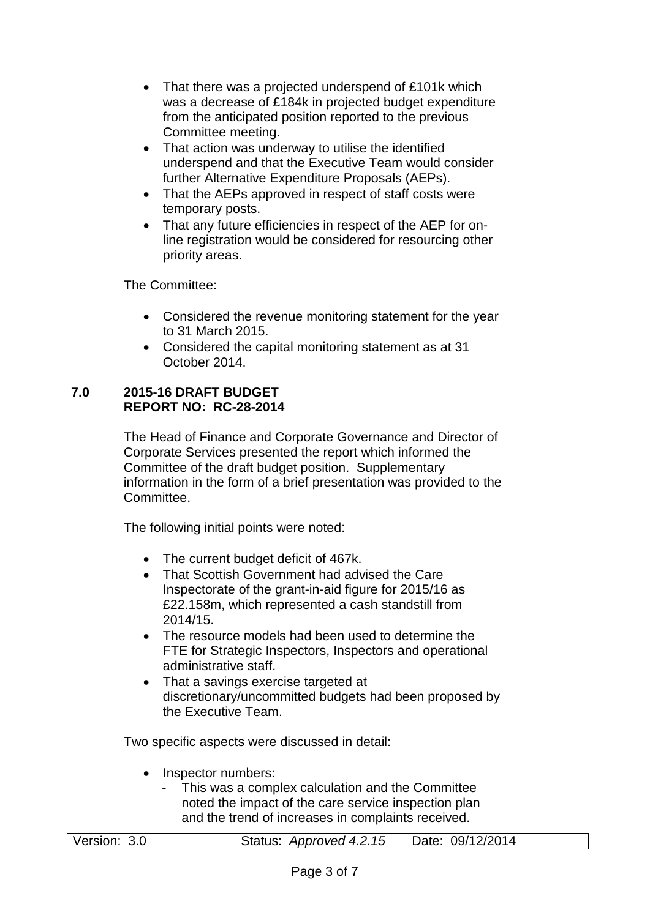- That there was a projected underspend of £101k which was a decrease of £184k in projected budget expenditure from the anticipated position reported to the previous Committee meeting.
- That action was underway to utilise the identified underspend and that the Executive Team would consider further Alternative Expenditure Proposals (AEPs).
- That the AEPs approved in respect of staff costs were temporary posts.
- That any future efficiencies in respect of the AEP for online registration would be considered for resourcing other priority areas.

The Committee:

- Considered the revenue monitoring statement for the year to 31 March 2015.
- Considered the capital monitoring statement as at 31 October 2014.

# **7.0 2015-16 DRAFT BUDGET REPORT NO: RC-28-2014**

The Head of Finance and Corporate Governance and Director of Corporate Services presented the report which informed the Committee of the draft budget position. Supplementary information in the form of a brief presentation was provided to the Committee.

The following initial points were noted:

- The current budget deficit of 467k.
- That Scottish Government had advised the Care Inspectorate of the grant-in-aid figure for 2015/16 as £22.158m, which represented a cash standstill from 2014/15.
- The resource models had been used to determine the FTE for Strategic Inspectors, Inspectors and operational administrative staff.
- That a savings exercise targeted at discretionary/uncommitted budgets had been proposed by the Executive Team.

Two specific aspects were discussed in detail:

- Inspector numbers:
	- This was a complex calculation and the Committee noted the impact of the care service inspection plan and the trend of increases in complaints received.

| Version: 3.0 | Status: Approved 4.2.15 | Date: 09/12/2014 |
|--------------|-------------------------|------------------|
|              |                         |                  |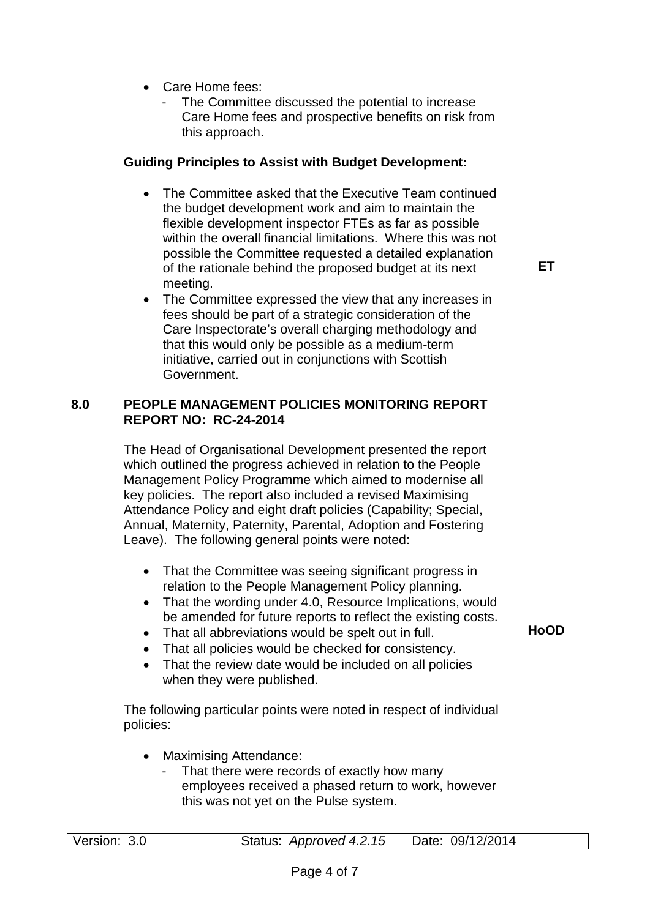- Care Home fees:
	- The Committee discussed the potential to increase Care Home fees and prospective benefits on risk from this approach.

#### **Guiding Principles to Assist with Budget Development:**

- The Committee asked that the Executive Team continued the budget development work and aim to maintain the flexible development inspector FTEs as far as possible within the overall financial limitations. Where this was not possible the Committee requested a detailed explanation of the rationale behind the proposed budget at its next meeting.
- The Committee expressed the view that any increases in fees should be part of a strategic consideration of the Care Inspectorate's overall charging methodology and that this would only be possible as a medium-term initiative, carried out in conjunctions with Scottish Government.

#### **8.0 PEOPLE MANAGEMENT POLICIES MONITORING REPORT REPORT NO: RC-24-2014**

The Head of Organisational Development presented the report which outlined the progress achieved in relation to the People Management Policy Programme which aimed to modernise all key policies. The report also included a revised Maximising Attendance Policy and eight draft policies (Capability; Special, Annual, Maternity, Paternity, Parental, Adoption and Fostering Leave). The following general points were noted:

- That the Committee was seeing significant progress in relation to the People Management Policy planning.
- That the wording under 4.0, Resource Implications, would be amended for future reports to reflect the existing costs.
- That all abbreviations would be spelt out in full.
- That all policies would be checked for consistency.
- That the review date would be included on all policies when they were published.

The following particular points were noted in respect of individual policies:

- Maximising Attendance:
	- That there were records of exactly how many employees received a phased return to work, however this was not yet on the Pulse system.

| Version: 3.0 | Status: Approved 4.2.15   Date: 09/12/2014 |  |
|--------------|--------------------------------------------|--|
|              |                                            |  |

**ET**

**HoOD**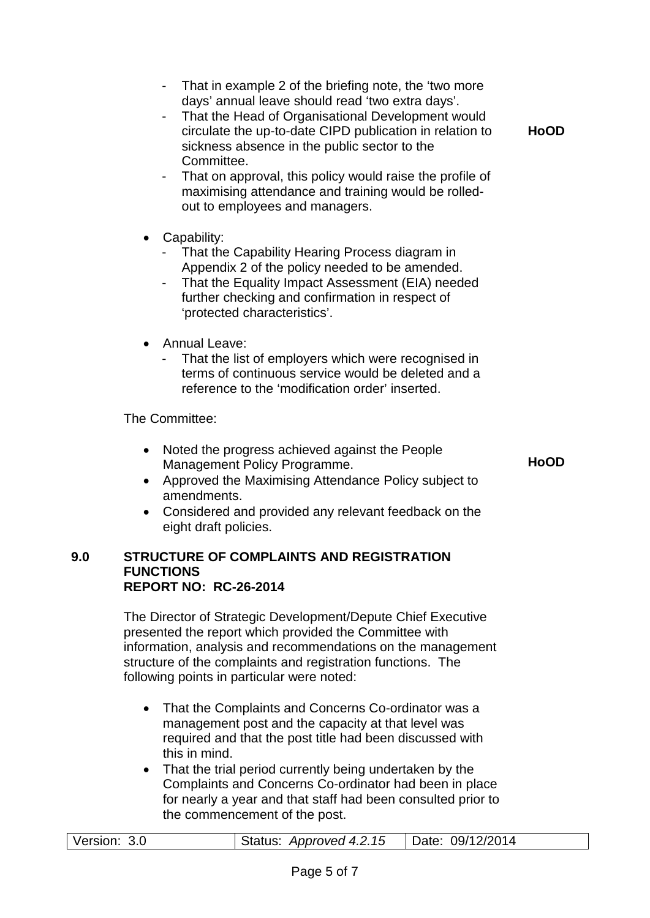- That in example 2 of the briefing note, the 'two more' days' annual leave should read 'two extra days'.
- That the Head of Organisational Development would circulate the up-to-date CIPD publication in relation to sickness absence in the public sector to the Committee.
- That on approval, this policy would raise the profile of maximising attendance and training would be rolledout to employees and managers.
- Capability:

That the Capability Hearing Process diagram in Appendix 2 of the policy needed to be amended.

- That the Equality Impact Assessment (EIA) needed further checking and confirmation in respect of 'protected characteristics'.
- Annual Leave:
	- That the list of employers which were recognised in terms of continuous service would be deleted and a reference to the 'modification order' inserted.

The Committee:

• Noted the progress achieved against the People Management Policy Programme.

**HoOD**

- Approved the Maximising Attendance Policy subject to amendments.
- Considered and provided any relevant feedback on the eight draft policies.

#### **9.0 STRUCTURE OF COMPLAINTS AND REGISTRATION FUNCTIONS REPORT NO: RC-26-2014**

The Director of Strategic Development/Depute Chief Executive presented the report which provided the Committee with information, analysis and recommendations on the management structure of the complaints and registration functions. The following points in particular were noted:

- That the Complaints and Concerns Co-ordinator was a management post and the capacity at that level was required and that the post title had been discussed with this in mind.
- That the trial period currently being undertaken by the Complaints and Concerns Co-ordinator had been in place for nearly a year and that staff had been consulted prior to the commencement of the post.

| Version: 3.0<br>$\sim$   Date: 09/12/2014<br>Status: Approved 4.2.15 |  |
|----------------------------------------------------------------------|--|
|----------------------------------------------------------------------|--|

**HoOD**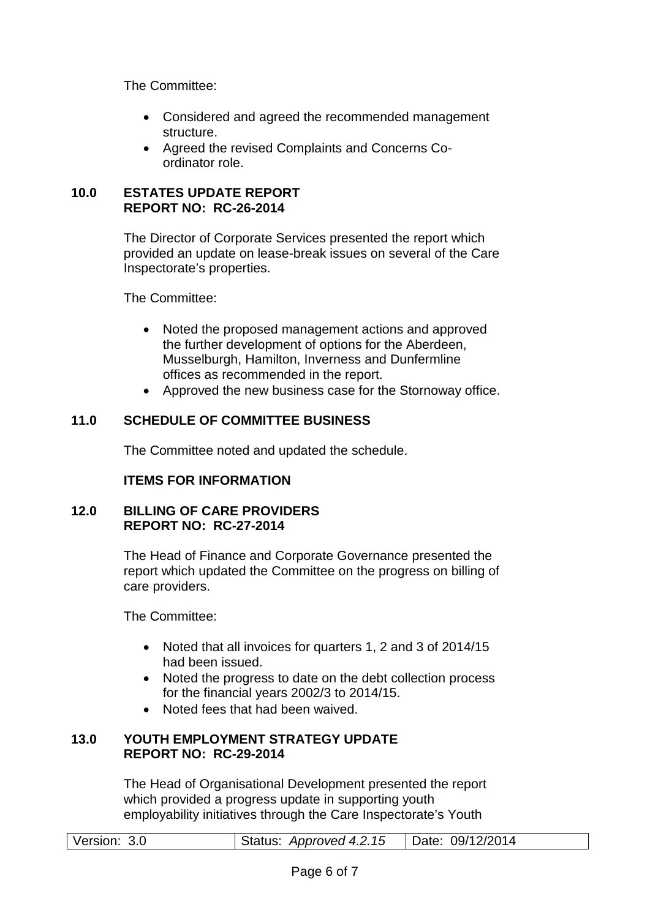The Committee:

- Considered and agreed the recommended management structure.
- Agreed the revised Complaints and Concerns Coordinator role.

# **10.0 ESTATES UPDATE REPORT REPORT NO: RC-26-2014**

The Director of Corporate Services presented the report which provided an update on lease-break issues on several of the Care Inspectorate's properties.

The Committee:

- Noted the proposed management actions and approved the further development of options for the Aberdeen, Musselburgh, Hamilton, Inverness and Dunfermline offices as recommended in the report.
- Approved the new business case for the Stornoway office.

# **11.0 SCHEDULE OF COMMITTEE BUSINESS**

The Committee noted and updated the schedule.

# **ITEMS FOR INFORMATION**

# **12.0 BILLING OF CARE PROVIDERS REPORT NO: RC-27-2014**

The Head of Finance and Corporate Governance presented the report which updated the Committee on the progress on billing of care providers.

The Committee:

- Noted that all invoices for quarters 1, 2 and 3 of 2014/15 had been issued.
- Noted the progress to date on the debt collection process for the financial years 2002/3 to 2014/15.
- Noted fees that had been waived.

# **13.0 YOUTH EMPLOYMENT STRATEGY UPDATE REPORT NO: RC-29-2014**

The Head of Organisational Development presented the report which provided a progress update in supporting youth employability initiatives through the Care Inspectorate's Youth

| Version: 3.0 | Approved 4.2.15<br>Status: | Date: 09/12/2014 |
|--------------|----------------------------|------------------|
|              |                            |                  |